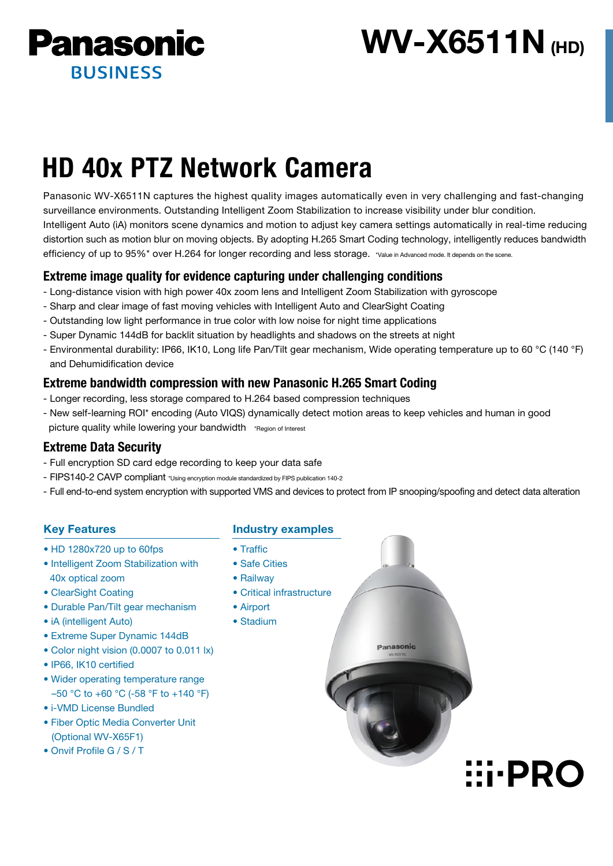

# **WV-X6511N** (HD)

# HD 40x PTZ Network Camera

Panasonic WV-X6511N captures the highest quality images automatically even in very challenging and fast-changing surveillance environments. Outstanding Intelligent Zoom Stabilization to increase visibility under blur condition. Intelligent Auto (iA) monitors scene dynamics and motion to adjust key camera settings automatically in real-time reducing distortion such as motion blur on moving objects. By adopting H.265 Smart Coding technology, intelligently reduces bandwidth efficiency of up to 95%\* over H.264 for longer recording and less storage. \*Value in Advanced mode. It depends on the scene.

# Extreme image quality for evidence capturing under challenging conditions

- Long-distance vision with high power 40x zoom lens and Intelligent Zoom Stabilization with gyroscope
- Sharp and clear image of fast moving vehicles with Intelligent Auto and ClearSight Coating
- Outstanding low light performance in true color with low noise for night time applications
- Super Dynamic 144dB for backlit situation by headlights and shadows on the streets at night
- Environmental durability: IP66, IK10, Long life Pan/Tilt gear mechanism, Wide operating temperature up to 60 °C (140 °F) and Dehumidification device

# Extreme bandwidth compression with new Panasonic H.265 Smart Coding

- Longer recording, less storage compared to H.264 based compression techniques
- New self-learning ROI\* encoding (Auto VIQS) dynamically detect motion areas to keep vehicles and human in good picture quality while lowering your bandwidth \*Region of Interest

# Extreme Data Security

- Full encryption SD card edge recording to keep your data safe
- FIPS140-2 CAVP compliant \*Using encryption module standardized by FIPS publication 140-2
- Full end-to-end system encryption with supported VMS and devices to protect from IP snooping/spoofing and detect data alteration

Panasonic

**EI-PRO** 

# Key Features

- HD 1280x720 up to 60fps
- Intelligent Zoom Stabilization with 40x optical zoom
- ClearSight Coating
- Durable Pan/Tilt gear mechanism
- iA (intelligent Auto)
- Extreme Super Dynamic 144dB
- Color night vision (0.0007 to 0.011 lx)
- IP66, IK10 certified
- Wider operating temperature range –50 °C to +60 °C (-58 °F to +140 °F)
- i-VMD License Bundled
- Fiber Optic Media Converter Unit (Optional WV-X65F1)
- Onvif Profile G / S / T

### Industry examples

- Traffic
- Safe Cities
- Railway
- Critical infrastructure
- Airport
- Stadium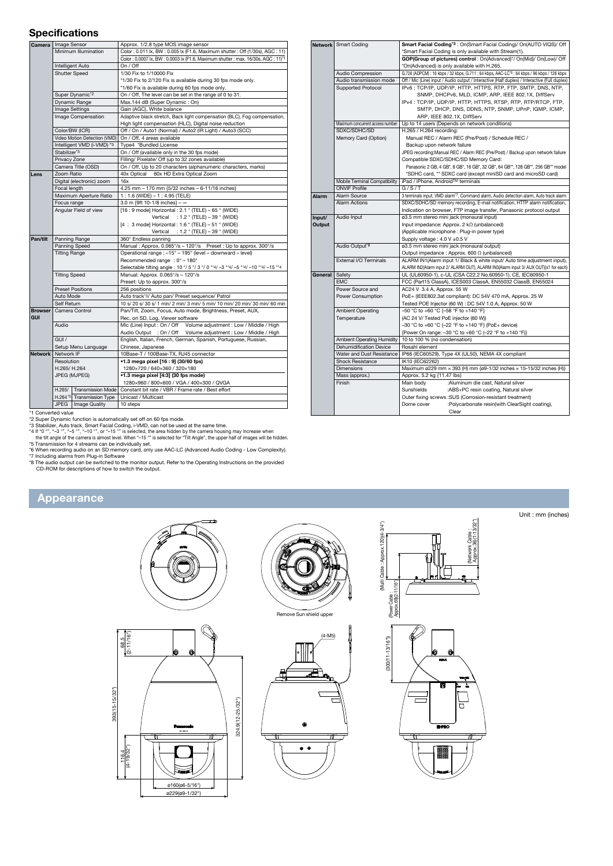#### **Specifications**

|                      | Camera   Image Sensor        |                           | Approx. 1/2.8 type MOS image sensor                                                         |  |  |  |
|----------------------|------------------------------|---------------------------|---------------------------------------------------------------------------------------------|--|--|--|
|                      | Minimum Illumination         |                           | Color: 0.011 lx, BW: 0.005 lx (F1.6, Maximum shutter: Off (1/30s), AGC: 11)                 |  |  |  |
|                      |                              |                           | Color: 0.0007 lx, BW: 0.0003 lx (F1.6, Maximum shutter: max. 16/30s, AGC: 11) <sup>*1</sup> |  |  |  |
|                      | Intelligent Auto             |                           | On / Off                                                                                    |  |  |  |
| <b>Shutter Speed</b> |                              |                           | 1/30 Fix to 1/10000 Fix                                                                     |  |  |  |
|                      |                              |                           | *1/30 Fix to 2/120 Fix is available during 30 fps mode only.                                |  |  |  |
|                      |                              |                           | *1/60 Fix is available during 60 fps mode only.                                             |  |  |  |
|                      | Super Dynamic <sup>*2</sup>  |                           | On / Off, The level can be set in the range of 0 to 31.                                     |  |  |  |
|                      | Dynamic Range                |                           | Max.144 dB (Super Dynamic: On)                                                              |  |  |  |
|                      | Image Settings               |                           | Gain (AGC), White balance                                                                   |  |  |  |
|                      | Image Compensation           |                           | Adaptive black stretch, Back light compensation (BLC), Fog compensation,                    |  |  |  |
|                      |                              |                           | High light compensation (HLC), Digital noise reduction                                      |  |  |  |
|                      | Color/BW (ICR)               |                           | Off / On / Auto1 (Normal) / Auto2 (IR Light) / Auto3 (SCC)                                  |  |  |  |
|                      | Video Motion Detection (VMD) |                           | On / Off. 4 areas available                                                                 |  |  |  |
|                      | Intelligent VMD (i-VMD) *3   |                           | Type4 *Bundled License                                                                      |  |  |  |
|                      | Stabilizer'3                 |                           | On / Off (available only in the 30 fps mode)                                                |  |  |  |
|                      | Privacy Zone                 |                           | Filling/ Pixelate/ Off (up to 32 zones available)                                           |  |  |  |
|                      | Camera Title (OSD)           |                           | On / Off, Up to 20 characters (alphanumeric characters, marks)                              |  |  |  |
| Lens                 | Zoom Ratio                   |                           | 60x HD Extra Optical Zoom<br>40x Optical                                                    |  |  |  |
|                      | Digital (electronic) zoom    |                           | 16x                                                                                         |  |  |  |
|                      | Focal length                 |                           | 4.25 mm - 170 mm {5/32 inches - 6-11/16 inches}                                             |  |  |  |
|                      | Maximum Aperture Ratio       |                           | 1: 1.6 (WIDE) - 1: 4.95 (TELE)                                                              |  |  |  |
|                      | Focus range                  |                           | 3.0 m {9ft 10-1/8 inches} - $\infty$                                                        |  |  |  |
|                      | Angular Field of view        |                           | [16 : 9 mode] Horizontal : 2.1 ° (TELE) - 65 ° (WIDE)                                       |  |  |  |
|                      |                              |                           | Vertical<br>: 1.2 $\degree$ (TELE) – 39 $\degree$ (WIDE)                                    |  |  |  |
|                      |                              |                           | $[4:3 \text{ model Horizontal}: 1.6 \text{ ° (TELE)} - 51 \text{ ° (WIDE)}]$                |  |  |  |
|                      |                              |                           | Vertical : $1.2$ ° (TELE) – 39 ° (WIDE)                                                     |  |  |  |
| Pan/tilt             | Panning Range                |                           | 360° Endless panning                                                                        |  |  |  |
|                      | Panning Speed                |                           | Manual: Approx. 0.065°/s - 120°/s Preset: Up to approx. 300°/s                              |  |  |  |
|                      | <b>Tilting Range</b>         |                           | Operational range : -15° - 195° (level - downward - level)                                  |  |  |  |
|                      |                              |                           | Recommended range : 0° - 180°                                                               |  |  |  |
|                      |                              |                           | Selectable tilting angle: 10 °/ 5 °/ 3 °/ 0 °*4/ -3 °*4/ -5 °*4/ -10 °*4/ -15 °*4           |  |  |  |
|                      | <b>Tilting Speed</b>         |                           | Manual: Approx. 0.065°/s - 120°/s                                                           |  |  |  |
|                      |                              |                           | Preset: Up to approx. 300°/s                                                                |  |  |  |
|                      | <b>Preset Positions</b>      |                           | 256 positions                                                                               |  |  |  |
|                      | Auto Mode                    |                           | Auto track*3/ Auto pan/ Preset sequence/ Patrol                                             |  |  |  |
|                      | Self Return                  |                           | 10 s/ 20 s/ 30 s/ 1 min/ 2 min/ 3 min/ 5 min/ 10 min/ 20 min/ 30 min/ 60 min                |  |  |  |
| <b>Browser</b>       | Camera Control               |                           | Pan/Tilt, Zoom, Focus, Auto mode, Brightness, Preset, AUX,                                  |  |  |  |
| <b>GUI</b>           |                              |                           | Rec. on SD, Log, Viewer software                                                            |  |  |  |
|                      | Audio                        |                           | Mic (Line) Input: On / Off Volume adjustment: Low / Middle / High                           |  |  |  |
|                      |                              |                           | Audio Output : On / Off Volume adjustment : Low / Middle / High                             |  |  |  |
|                      | GIII/                        |                           | English, Italian, French, German, Spanish, Portuguese, Russian,                             |  |  |  |
|                      | Setup Menu Language          |                           | Chinese, Japanese                                                                           |  |  |  |
| Network   Network IF |                              |                           | 10Base-T / 100Base-TX, RJ45 connector                                                       |  |  |  |
|                      | Resolution                   |                           | •1.3 mega pixel [16 : 9] (30/60 fps)                                                        |  |  |  |
|                      | H.265/H.264                  |                           | 1280×720 / 640×360 / 320×180                                                                |  |  |  |
|                      | JPEG (MJPEG)                 |                           | •1.3 mega pixel [4:3] (30 fps mode)                                                         |  |  |  |
|                      |                              |                           | 1280×960 / 800×600 / VGA / 400×300 / QVGA                                                   |  |  |  |
|                      | H.265/                       |                           | Transmission Mode   Constant bit rate / VBR / Frame rate / Best effort                      |  |  |  |
|                      |                              | H.264'5 Transmission Type | Unicast / Multicast                                                                         |  |  |  |
|                      | JPEG                         | Image Quality             | 10 steps                                                                                    |  |  |  |

|         | Network   Smart Coding           | Smart Facial Coding*3 : On(Smart Facial Coding)/ On(AUTO VIQS)/ Off                                                                                                                                                                                        |  |  |  |
|---------|----------------------------------|------------------------------------------------------------------------------------------------------------------------------------------------------------------------------------------------------------------------------------------------------------|--|--|--|
|         |                                  | *Smart Facial Coding is only available with Stream(1).                                                                                                                                                                                                     |  |  |  |
|         |                                  | GOP(Group of pictures) control : On(Advanced)*/ On(Mid)/ On(Low)/ Off                                                                                                                                                                                      |  |  |  |
|         |                                  | *On(Advanced) is only available with H.265.                                                                                                                                                                                                                |  |  |  |
|         | Audio Compression                | G.726 (ADPCM): 16 kbps / 32 kbps, G.711: 64 kbps, AAC-LC'6: 64 kbps / 96 kbps / 128 kbps                                                                                                                                                                   |  |  |  |
|         | Audio transmission mode          | Off / Mic (Line) input / Audio output / Interactive (Half duplex) / Interactive (Full duplex)                                                                                                                                                              |  |  |  |
|         | <b>Supported Protocol</b>        | IPv6: TCP/IP, UDP/IP, HTTP, HTTPS, RTP, FTP, SMTP, DNS, NTP,                                                                                                                                                                                               |  |  |  |
|         |                                  | SNMP, DHCPv6, MLD, ICMP, ARP, IEEE 802.1X, DiffServ<br>IPv4: TCP/IP, UDP/IP, HTTP, HTTPS, RTSP, RTP, RTP/RTCP, FTP,<br>SMTP, DHCP, DNS, DDNS, NTP, SNMP, UPnP, IGMP, ICMP,<br>ARP, IEEE 802.1X, DiffServ<br>Up to 14 users (Depends on network conditions) |  |  |  |
|         |                                  |                                                                                                                                                                                                                                                            |  |  |  |
|         |                                  |                                                                                                                                                                                                                                                            |  |  |  |
|         |                                  |                                                                                                                                                                                                                                                            |  |  |  |
|         | Maximum concurrent access number |                                                                                                                                                                                                                                                            |  |  |  |
|         | SDXC/SDHC/SD                     | H.265 / H.264 recording:                                                                                                                                                                                                                                   |  |  |  |
|         | Memory Card (Option)             | Manual REC / Alarm REC (Pre/Post) / Schedule REC /                                                                                                                                                                                                         |  |  |  |
|         |                                  | Backup upon network failure                                                                                                                                                                                                                                |  |  |  |
|         |                                  | JPEG recording:Manual REC / Alarm REC (Pre/Post) / Backup upon network failure<br>Compatible SDXC/SDHC/SD Memory Card:                                                                                                                                     |  |  |  |
|         |                                  |                                                                                                                                                                                                                                                            |  |  |  |
|         |                                  | Panasonic 2 GB, 4 GB*, 8 GB*, 16 GB*, 32 GB*, 64 GB**, 128 GB**, 256 GB** model                                                                                                                                                                            |  |  |  |
|         |                                  | *SDHC card, ** SDXC card (except miniSD card and microSD card)                                                                                                                                                                                             |  |  |  |
|         | Mobile Terminal Compatibility    | iPad / iPhone, Android™ terminals                                                                                                                                                                                                                          |  |  |  |
|         | <b>ONVIF Profile</b>             | G/S/T                                                                                                                                                                                                                                                      |  |  |  |
| Alarm   | Alarm Source                     | 3 terminals input, VMD alarm <sup>+7</sup> , Command alarm, Audio detection alarm, Auto track alarm                                                                                                                                                        |  |  |  |
|         | <b>Alarm Actions</b>             | SDXC/SDHC/SD memory recording, E-mail notification, HTTP alarm notification,                                                                                                                                                                               |  |  |  |
|         |                                  | Indication on browser, FTP image transfer, Panasonic protocol output                                                                                                                                                                                       |  |  |  |
| Input/  | Audio Input                      | ø3.5 mm stereo mini jack (monaural input)                                                                                                                                                                                                                  |  |  |  |
| Output  |                                  | Input impedance: Approx. 2 kΩ (unbalanced)                                                                                                                                                                                                                 |  |  |  |
|         |                                  | (Applicable microphone : Plug-in power type)                                                                                                                                                                                                               |  |  |  |
|         |                                  | Supply voltage: 4.0 V ±0.5 V                                                                                                                                                                                                                               |  |  |  |
|         | Audio Output <sup>*8</sup>       | ø3.5 mm stereo mini jack (monaural output)                                                                                                                                                                                                                 |  |  |  |
|         |                                  | Output impedance: Approx. 600 $\Omega$ (unbalanced)                                                                                                                                                                                                        |  |  |  |
|         | External I/O Terminals           | ALARM IN1(Alarm input 1/ Black & white input/ Auto time adjustment input),                                                                                                                                                                                 |  |  |  |
|         |                                  | ALARM IN2(Alarm input 2/ ALARM OUT), ALARM IN3(Alarm input 3/ AUX OUT)(x1 for each)                                                                                                                                                                        |  |  |  |
| General | Safety                           | UL (UL60950-1), c-UL (CSA C22.2 No.60950-1), CE, IEC60950-1                                                                                                                                                                                                |  |  |  |
|         | <b>EMC</b>                       | FCC (Part15 ClassA), ICES003 ClassA, EN55032 ClassB, EN55024                                                                                                                                                                                               |  |  |  |
|         | Power Source and                 | AC24 V 3.4 A, Approx. 55 W                                                                                                                                                                                                                                 |  |  |  |
|         | Power Consumption                | PoE+ (IEEE802.3at compliant): DC 54V 470 mA, Approx. 25 W                                                                                                                                                                                                  |  |  |  |
|         |                                  | Tested POE Injector (60 W) : DC 54V 1.0 A, Approx. 50 W                                                                                                                                                                                                    |  |  |  |
|         | <b>Ambient Operating</b>         | -50 °C to +60 °C {-58 °F to +140 °F}                                                                                                                                                                                                                       |  |  |  |
|         | Temperature                      | (AC 24 V/ Tested PoE injector (60 W))                                                                                                                                                                                                                      |  |  |  |
|         |                                  | -30 °C to +60 °C {-22 °F to +140 °F} (PoE+ device)                                                                                                                                                                                                         |  |  |  |
|         |                                  | {Power On range: -30 °C to +60 °C (-22 °F to +140 °F)}                                                                                                                                                                                                     |  |  |  |
|         | Ambient Operating Humidity       | 10 to 100 % (no condensation)                                                                                                                                                                                                                              |  |  |  |
|         | <b>Dehumidification Device</b>   | Rosahl element                                                                                                                                                                                                                                             |  |  |  |
|         | Water and Dust Resistance        | IP66 (IEC60529), Type 4X (UL50), NEMA 4X compliant                                                                                                                                                                                                         |  |  |  |
|         | <b>Shock Resistance</b>          | IK10 (IEC62262)                                                                                                                                                                                                                                            |  |  |  |
|         | Dimensions                       | Maximum ø229 mm × 393 (H) mm {ø9-1/32 inches × 15-15/32 inches (H)}                                                                                                                                                                                        |  |  |  |
|         | Mass (approx.)                   | Approx. 5.2 kg {11.47 lbs}                                                                                                                                                                                                                                 |  |  |  |
|         | Finish                           | Main body<br>:Aluminum die cast, Natural silver                                                                                                                                                                                                            |  |  |  |
|         |                                  | Sunshields<br>:ABS+PC resin coating, Natural silver                                                                                                                                                                                                        |  |  |  |
|         |                                  | Outer fixing screws : SUS (Corrosion-resistant treatment)                                                                                                                                                                                                  |  |  |  |
|         |                                  | :Polycarbonate resin(with ClearSight coating),<br>Dome cover                                                                                                                                                                                               |  |  |  |
|         |                                  | Clear                                                                                                                                                                                                                                                      |  |  |  |

"1 Converted value<br>
"Competer Dynamic function is automatically set off on 60 fps mode.<br>
"2 Super Dynamic function is automatically set off on 60 fps mode.<br>
"3 Stabilizer, Auto track, Smart Facial Coding, i-VMD, can not be

# Appearance



(Multi Cable: Approx.120)(4-3/4")  $3/32"$  Approx.36)(1-13/32") (Multi Cable : Approx.120)(4-3/4") (Network Cable : Vetwork Cable :<br>Approx, 36)(1-13 (Power Cable :<br>Approx.69(2-11/16") Approx.69(2-11/16")  $(300(11-13/16")$  (Power Cable :  $300(11-13/16")$ 

 $\overline{\Gamma}$ 

┱

Ë

Unit : mm (inches)